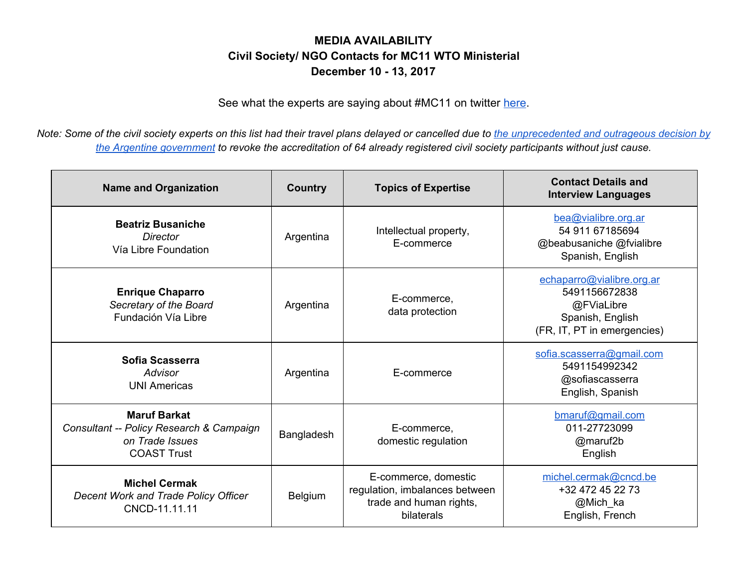## **MEDIA AVAILABILITY Civil Society/ NGO Contacts for MC11 WTO Ministerial December 10 - 13, 2017**

See what the experts are saying about #MC11 on twitter [here](https://twitter.com/MelindaGTW/lists/civil-society-at-mc11).

Note: Some of the civil society experts on this list had their travel plans delayed or cancelled due to the [unprecedented](http://notforsale.mayfirst.org/en/node/24715) and outrageous decision by the Argentine [government](http://notforsale.mayfirst.org/en/node/24715) to revoke the accreditation of 64 already registered civil society participants without just cause.

| <b>Name and Organization</b>                                                                             | <b>Country</b> | <b>Topics of Expertise</b>                                                                      | <b>Contact Details and</b><br><b>Interview Languages</b>                                                    |
|----------------------------------------------------------------------------------------------------------|----------------|-------------------------------------------------------------------------------------------------|-------------------------------------------------------------------------------------------------------------|
| <b>Beatriz Busaniche</b><br>Director<br>Vía Libre Foundation                                             | Argentina      | Intellectual property,<br>E-commerce                                                            | bea@vialibre.org.ar<br>54 911 67185694<br>@beabusaniche @fvialibre<br>Spanish, English                      |
| <b>Enrique Chaparro</b><br>Secretary of the Board<br>Fundación Vía Libre                                 | Argentina      | E-commerce,<br>data protection                                                                  | echaparro@vialibre.org.ar<br>5491156672838<br>@FViaLibre<br>Spanish, English<br>(FR, IT, PT in emergencies) |
| Sofia Scasserra<br>Advisor<br><b>UNI Americas</b>                                                        | Argentina      | E-commerce                                                                                      | sofia.scasserra@gmail.com<br>5491154992342<br>@sofiascasserra<br>English, Spanish                           |
| <b>Maruf Barkat</b><br>Consultant -- Policy Research & Campaign<br>on Trade Issues<br><b>COAST Trust</b> | Bangladesh     | E-commerce,<br>domestic regulation                                                              | bmaruf@gmail.com<br>011-27723099<br>@maruf2b<br>English                                                     |
| <b>Michel Cermak</b><br>Decent Work and Trade Policy Officer<br>CNCD-11.11.11                            | <b>Belgium</b> | E-commerce, domestic<br>regulation, imbalances between<br>trade and human rights,<br>bilaterals | michel.cermak@cncd.be<br>+32 472 45 22 73<br>@Mich_ka<br>English, French                                    |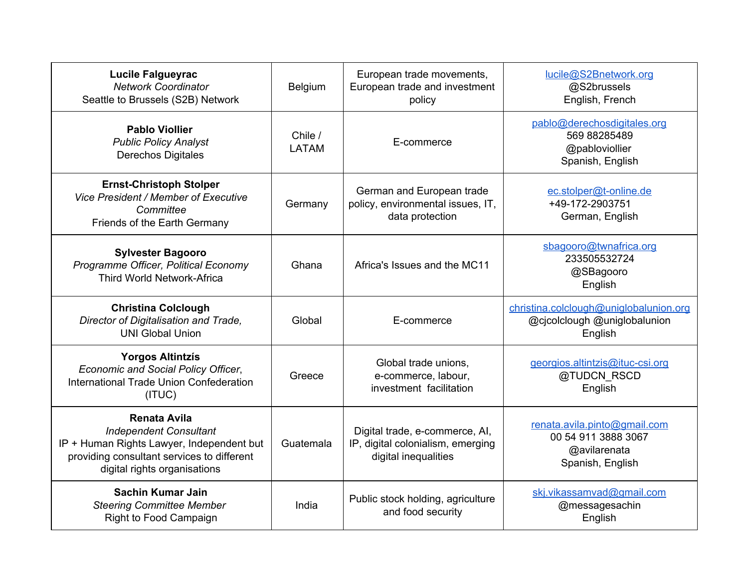| <b>Lucile Falgueyrac</b><br><b>Network Coordinator</b><br>Seattle to Brussels (S2B) Network                                                                                     | Belgium                 | European trade movements,<br>European trade and investment<br>policy                        | lucile@S2Bnetwork.org<br>@S2brussels<br>English, French                                 |
|---------------------------------------------------------------------------------------------------------------------------------------------------------------------------------|-------------------------|---------------------------------------------------------------------------------------------|-----------------------------------------------------------------------------------------|
| <b>Pablo Viollier</b><br><b>Public Policy Analyst</b><br><b>Derechos Digitales</b>                                                                                              | Chile /<br><b>LATAM</b> | E-commerce                                                                                  | pablo@derechosdigitales.org<br>569 88285489<br>@pabloviollier<br>Spanish, English       |
| <b>Ernst-Christoph Stolper</b><br>Vice President / Member of Executive<br>Committee<br>Friends of the Earth Germany                                                             | Germany                 | German and European trade<br>policy, environmental issues, IT,<br>data protection           | ec.stolper@t-online.de<br>+49-172-2903751<br>German, English                            |
| <b>Sylvester Bagooro</b><br>Programme Officer, Political Economy<br><b>Third World Network-Africa</b>                                                                           | Ghana                   | Africa's Issues and the MC11                                                                | sbagooro@twnafrica.org<br>233505532724<br>@SBagooro<br>English                          |
| <b>Christina Colclough</b><br>Director of Digitalisation and Trade,<br><b>UNI Global Union</b>                                                                                  | Global                  | E-commerce                                                                                  | christina.colclough@uniglobalunion.org<br>@cjcolclough @uniglobalunion<br>English       |
| <b>Yorgos Altintzís</b><br><b>Economic and Social Policy Officer,</b><br>International Trade Union Confederation<br>(ITUC)                                                      | Greece                  | Global trade unions,<br>e-commerce, labour,<br>investment facilitation                      | georgios.altintzis@ituc-csi.org<br>@TUDCN RSCD<br>English                               |
|                                                                                                                                                                                 |                         |                                                                                             |                                                                                         |
| <b>Renata Avila</b><br><b>Independent Consultant</b><br>IP + Human Rights Lawyer, Independent but<br>providing consultant services to different<br>digital rights organisations | Guatemala               | Digital trade, e-commerce, AI,<br>IP, digital colonialism, emerging<br>digital inequalities | renata.avila.pinto@gmail.com<br>00 54 911 3888 3067<br>@avilarenata<br>Spanish, English |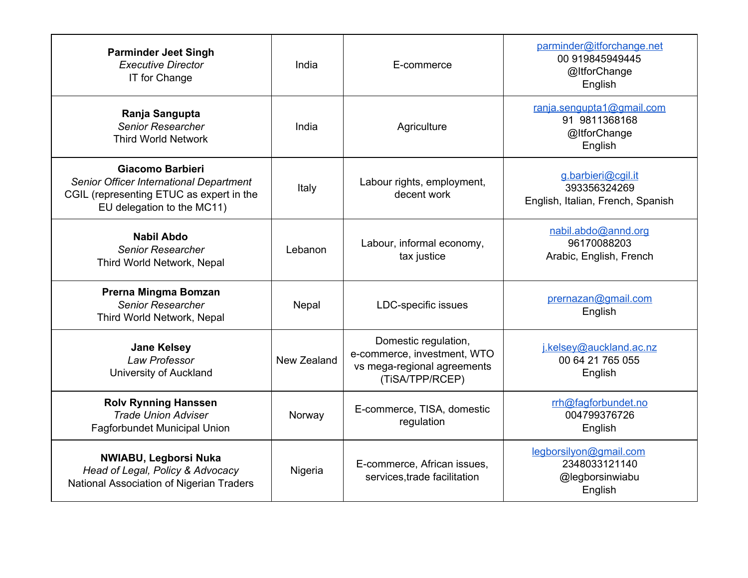| <b>Parminder Jeet Singh</b><br><b>Executive Director</b><br>IT for Change                                                                    | India       | E-commerce                                                                                            | parminder@itforchange.net<br>00 919845949445<br>@ItforChange<br>English |
|----------------------------------------------------------------------------------------------------------------------------------------------|-------------|-------------------------------------------------------------------------------------------------------|-------------------------------------------------------------------------|
| Ranja Sangupta<br>Senior Researcher<br><b>Third World Network</b>                                                                            | India       | Agriculture                                                                                           | ranja.sengupta1@gmail.com<br>91 9811368168<br>@ItforChange<br>English   |
| <b>Giacomo Barbieri</b><br>Senior Officer International Department<br>CGIL (representing ETUC as expert in the<br>EU delegation to the MC11) | Italy       | Labour rights, employment,<br>decent work                                                             | g.barbieri@cgil.it<br>393356324269<br>English, Italian, French, Spanish |
| <b>Nabil Abdo</b><br>Senior Researcher<br>Third World Network, Nepal                                                                         | Lebanon     | Labour, informal economy,<br>tax justice                                                              | nabil.abdo@annd.org<br>96170088203<br>Arabic, English, French           |
| Prerna Mingma Bomzan<br>Senior Researcher<br>Third World Network, Nepal                                                                      | Nepal       | LDC-specific issues                                                                                   | prernazan@gmail.com<br>English                                          |
| <b>Jane Kelsey</b><br>Law Professor<br>University of Auckland                                                                                | New Zealand | Domestic regulation,<br>e-commerce, investment, WTO<br>vs mega-regional agreements<br>(TiSA/TPP/RCEP) | j.kelsey@auckland.ac.nz<br>00 64 21 765 055<br>English                  |
| <b>Rolv Rynning Hanssen</b><br><b>Trade Union Adviser</b><br>Fagforbundet Municipal Union                                                    | Norway      | E-commerce, TISA, domestic<br>regulation                                                              | rrh@fagforbundet.no<br>004799376726<br>English                          |
| <b>NWIABU, Legborsi Nuka</b><br>Head of Legal, Policy & Advocacy<br>National Association of Nigerian Traders                                 | Nigeria     | E-commerce, African issues,<br>services, trade facilitation                                           | legborsilyon@gmail.com<br>2348033121140<br>@legborsinwiabu<br>English   |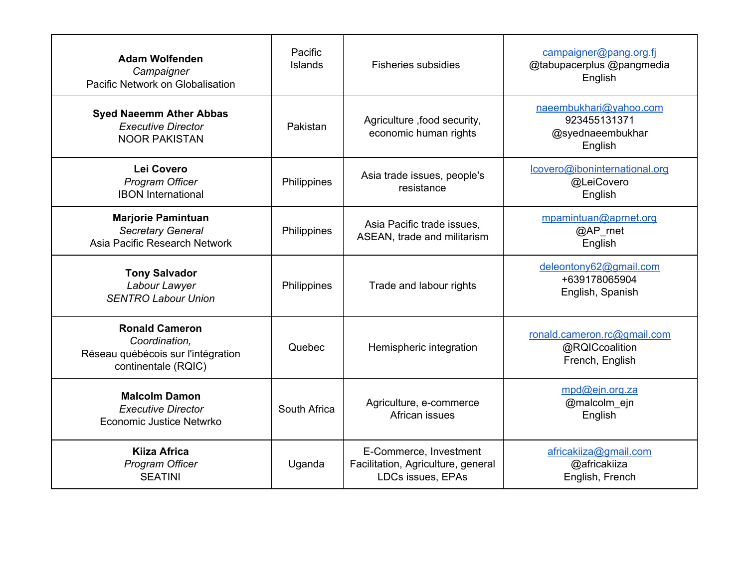| <b>Adam Wolfenden</b><br>Campaigner<br>Pacific Network on Globalisation                             | Pacific<br>Islands | <b>Fisheries subsidies</b>                                                        | campaigner@pang.org.fi<br>@tabupacerplus @pangmedia<br>English        |
|-----------------------------------------------------------------------------------------------------|--------------------|-----------------------------------------------------------------------------------|-----------------------------------------------------------------------|
| <b>Syed Naeemm Ather Abbas</b><br><b>Executive Director</b><br><b>NOOR PAKISTAN</b>                 | Pakistan           | Agriculture , food security,<br>economic human rights                             | naeembukhari@yahoo.com<br>923455131371<br>@syednaeembukhar<br>English |
| Lei Covero<br>Program Officer<br><b>IBON International</b>                                          | Philippines        | Asia trade issues, people's<br>resistance                                         | lcovero@iboninternational.org<br>@LeiCovero<br>English                |
| <b>Marjorie Pamintuan</b><br><b>Secretary General</b><br>Asia Pacific Research Network              | Philippines        | Asia Pacific trade issues,<br>ASEAN, trade and militarism                         | mpamintuan@aprnet.org<br>@AP_rnet<br>English                          |
| <b>Tony Salvador</b><br>Labour Lawyer<br><b>SENTRO Labour Union</b>                                 | Philippines        | Trade and labour rights                                                           | deleontony62@gmail.com<br>+639178065904<br>English, Spanish           |
| <b>Ronald Cameron</b><br>Coordination,<br>Réseau québécois sur l'intégration<br>continentale (RQIC) | Quebec             | Hemispheric integration                                                           | ronald.cameron.rc@gmail.com<br>@RQICcoalition<br>French, English      |
| <b>Malcolm Damon</b><br><b>Executive Director</b><br>Economic Justice Netwrko                       | South Africa       | Agriculture, e-commerce<br>African issues                                         | mpd@ein.org.za<br>@malcolm ejn<br>English                             |
| <b>Kiiza Africa</b><br>Program Officer<br><b>SEATINI</b>                                            | Uganda             | E-Commerce, Investment<br>Facilitation, Agriculture, general<br>LDCs issues, EPAs | africakiiza@gmail.com<br>@africakiiza<br>English, French              |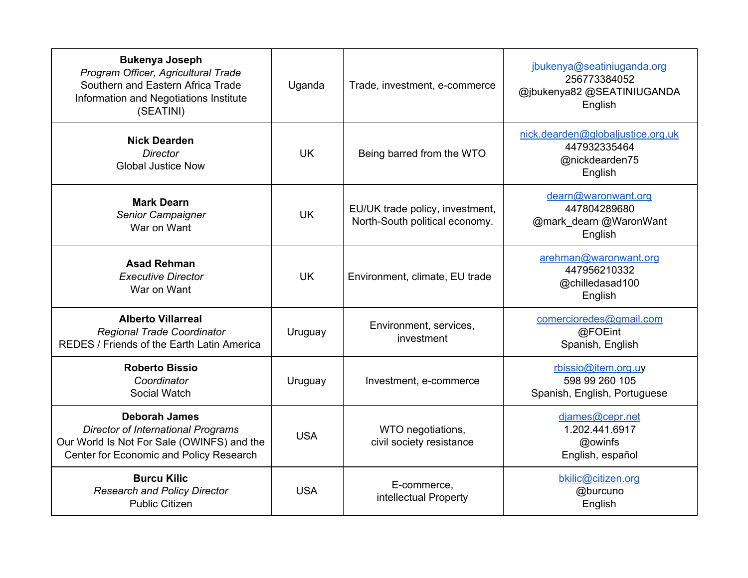| <b>Bukenya Joseph</b><br>Program Officer, Agricultural Trade<br>Southern and Eastern Africa Trade<br>Information and Negotiations Institute<br>(SEATINI)   | Uganda     | Trade, investment, e-commerce                                     | jbukenya@seatiniuganda.org<br>256773384052<br>@jbukenya82 @SEATINIUGANDA<br>English |
|------------------------------------------------------------------------------------------------------------------------------------------------------------|------------|-------------------------------------------------------------------|-------------------------------------------------------------------------------------|
| <b>Nick Dearden</b><br><b>Director</b><br><b>Global Justice Now</b>                                                                                        | <b>UK</b>  | Being barred from the WTO                                         | nick.dearden@globaljustice.org.uk<br>447932335464<br>@nickdearden75<br>English      |
| <b>Mark Dearn</b><br>Senior Campaigner<br>War on Want                                                                                                      | <b>UK</b>  | EU/UK trade policy, investment,<br>North-South political economy. | dearn@waronwant.org<br>447804289680<br>@mark_dearn @WaronWant<br>English            |
| <b>Asad Rehman</b><br><b>Executive Director</b><br>War on Want                                                                                             | <b>UK</b>  | Environment, climate, EU trade                                    | arehman@waronwant.org<br>447956210332<br>@chilledasad100<br>English                 |
| <b>Alberto Villarreal</b><br><b>Regional Trade Coordinator</b><br>REDES / Friends of the Earth Latin America                                               | Uruguay    | Environment, services,<br>investment                              | comercioredes@gmail.com<br>@FOEint<br>Spanish, English                              |
| <b>Roberto Bissio</b><br>Coordinator<br>Social Watch                                                                                                       | Uruguay    | Investment, e-commerce                                            | rbissio@item.org.uy<br>598 99 260 105<br>Spanish, English, Portuguese               |
| <b>Deborah James</b><br><b>Director of International Programs</b><br>Our World Is Not For Sale (OWINFS) and the<br>Center for Economic and Policy Research | <b>USA</b> | WTO negotiations,<br>civil society resistance                     | djames@cepr.net<br>1.202.441.6917<br>@owinfs<br>English, español                    |
| <b>Burcu Kilic</b><br><b>Research and Policy Director</b><br><b>Public Citizen</b>                                                                         | <b>USA</b> | E-commerce,<br>intellectual Property                              | bkilic@citizen.org<br>@burcuno<br>English                                           |